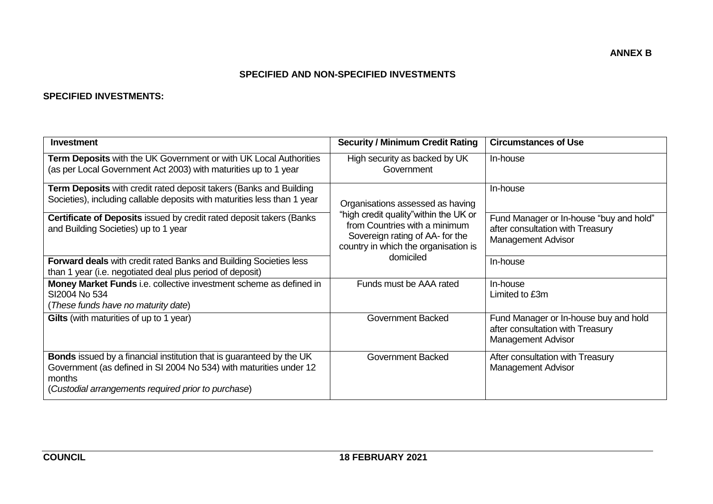## **SPECIFIED AND NON-SPECIFIED INVESTMENTS**

### **SPECIFIED INVESTMENTS:**

| Investment                                                                                                                                                                                                         | <b>Security / Minimum Credit Rating</b>                                                                                                            | <b>Circumstances of Use</b>                                                                            |
|--------------------------------------------------------------------------------------------------------------------------------------------------------------------------------------------------------------------|----------------------------------------------------------------------------------------------------------------------------------------------------|--------------------------------------------------------------------------------------------------------|
| Term Deposits with the UK Government or with UK Local Authorities<br>(as per Local Government Act 2003) with maturities up to 1 year                                                                               | High security as backed by UK<br>Government                                                                                                        | In-house                                                                                               |
| <b>Term Deposits</b> with credit rated deposit takers (Banks and Building<br>Societies), including callable deposits with maturities less than 1 year                                                              | Organisations assessed as having                                                                                                                   | In-house                                                                                               |
| Certificate of Deposits issued by credit rated deposit takers (Banks<br>and Building Societies) up to 1 year                                                                                                       | "high credit quality" within the UK or<br>from Countries with a minimum<br>Sovereign rating of AA- for the<br>country in which the organisation is | Fund Manager or In-house "buy and hold"<br>after consultation with Treasury<br>Management Advisor      |
| <b>Forward deals</b> with credit rated Banks and Building Societies less<br>than 1 year (i.e. negotiated deal plus period of deposit)                                                                              | domiciled                                                                                                                                          | In-house                                                                                               |
| Money Market Funds i.e. collective investment scheme as defined in<br>SI2004 No 534<br>(These funds have no maturity date)                                                                                         | Funds must be AAA rated                                                                                                                            | In-house<br>Limited to £3m                                                                             |
| Gilts (with maturities of up to 1 year)                                                                                                                                                                            | Government Backed                                                                                                                                  | Fund Manager or In-house buy and hold<br>after consultation with Treasury<br><b>Management Advisor</b> |
| <b>Bonds</b> issued by a financial institution that is guaranteed by the UK<br>Government (as defined in SI 2004 No 534) with maturities under 12<br>months<br>(Custodial arrangements required prior to purchase) | Government Backed                                                                                                                                  | After consultation with Treasury<br><b>Management Advisor</b>                                          |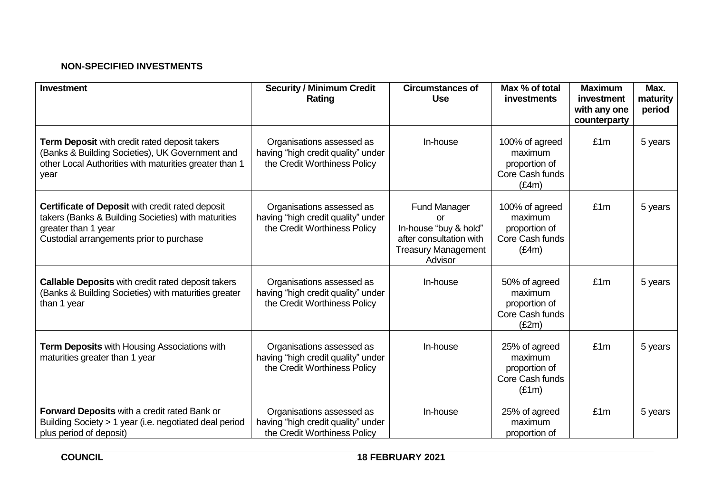# **NON-SPECIFIED INVESTMENTS**

| <b>Investment</b>                                                                                                                                                          | <b>Security / Minimum Credit</b><br>Rating                                                      | <b>Circumstances of</b><br><b>Use</b>                                                                                  | Max % of total<br>investments                                          | <b>Maximum</b><br>investment<br>with any one<br>counterparty | Max.<br>maturity<br>period |
|----------------------------------------------------------------------------------------------------------------------------------------------------------------------------|-------------------------------------------------------------------------------------------------|------------------------------------------------------------------------------------------------------------------------|------------------------------------------------------------------------|--------------------------------------------------------------|----------------------------|
| Term Deposit with credit rated deposit takers<br>(Banks & Building Societies), UK Government and<br>other Local Authorities with maturities greater than 1<br>year         | Organisations assessed as<br>having "high credit quality" under<br>the Credit Worthiness Policy | In-house                                                                                                               | 100% of agreed<br>maximum<br>proportion of<br>Core Cash funds<br>(E4m) | £1m                                                          | 5 years                    |
| Certificate of Deposit with credit rated deposit<br>takers (Banks & Building Societies) with maturities<br>greater than 1 year<br>Custodial arrangements prior to purchase | Organisations assessed as<br>having "high credit quality" under<br>the Credit Worthiness Policy | <b>Fund Manager</b><br>or<br>In-house "buy & hold"<br>after consultation with<br><b>Treasury Management</b><br>Advisor | 100% of agreed<br>maximum<br>proportion of<br>Core Cash funds<br>(E4m) | £1m                                                          | 5 years                    |
| <b>Callable Deposits with credit rated deposit takers</b><br>(Banks & Building Societies) with maturities greater<br>than 1 year                                           | Organisations assessed as<br>having "high credit quality" under<br>the Credit Worthiness Policy | In-house                                                                                                               | 50% of agreed<br>maximum<br>proportion of<br>Core Cash funds<br>(E2m)  | £1m                                                          | 5 years                    |
| Term Deposits with Housing Associations with<br>maturities greater than 1 year                                                                                             | Organisations assessed as<br>having "high credit quality" under<br>the Credit Worthiness Policy | In-house                                                                                                               | 25% of agreed<br>maximum<br>proportion of<br>Core Cash funds<br>(E1m)  | £1m                                                          | 5 years                    |
| Forward Deposits with a credit rated Bank or<br>Building Society > 1 year (i.e. negotiated deal period<br>plus period of deposit)                                          | Organisations assessed as<br>having "high credit quality" under<br>the Credit Worthiness Policy | In-house                                                                                                               | 25% of agreed<br>maximum<br>proportion of                              | £1m                                                          | 5 years                    |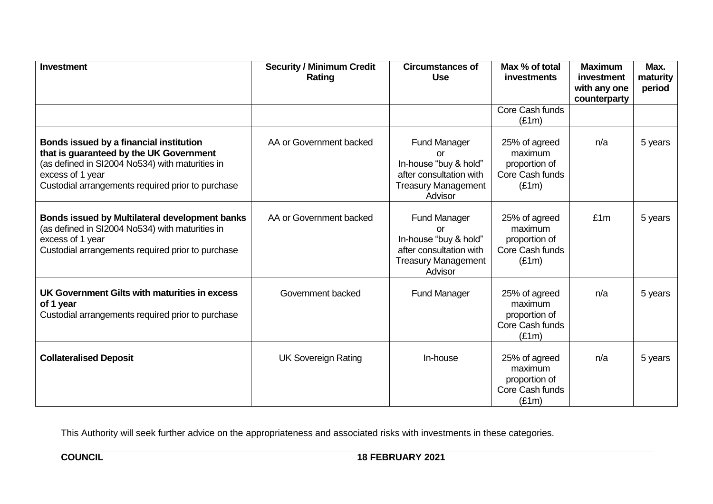| <b>Investment</b>                                                                                                                                                                                              | <b>Security / Minimum Credit</b><br>Rating | <b>Circumstances of</b><br><b>Use</b>                                                                                  | Max % of total<br><b>investments</b>                                  | <b>Maximum</b><br>investment<br>with any one<br>counterparty | Max.<br>maturity<br>period |
|----------------------------------------------------------------------------------------------------------------------------------------------------------------------------------------------------------------|--------------------------------------------|------------------------------------------------------------------------------------------------------------------------|-----------------------------------------------------------------------|--------------------------------------------------------------|----------------------------|
|                                                                                                                                                                                                                |                                            |                                                                                                                        | Core Cash funds<br>(E1m)                                              |                                                              |                            |
| Bonds issued by a financial institution<br>that is guaranteed by the UK Government<br>(as defined in SI2004 No534) with maturities in<br>excess of 1 year<br>Custodial arrangements required prior to purchase | AA or Government backed                    | <b>Fund Manager</b><br>or<br>In-house "buy & hold"<br>after consultation with<br><b>Treasury Management</b><br>Advisor | 25% of agreed<br>maximum<br>proportion of<br>Core Cash funds<br>(E1m) | n/a                                                          | 5 years                    |
| <b>Bonds issued by Multilateral development banks</b><br>(as defined in SI2004 No534) with maturities in<br>excess of 1 year<br>Custodial arrangements required prior to purchase                              | AA or Government backed                    | <b>Fund Manager</b><br>or<br>In-house "buy & hold"<br>after consultation with<br><b>Treasury Management</b><br>Advisor | 25% of agreed<br>maximum<br>proportion of<br>Core Cash funds<br>(E1m) | £1m                                                          | 5 years                    |
| UK Government Gilts with maturities in excess<br>of 1 year<br>Custodial arrangements required prior to purchase                                                                                                | Government backed                          | <b>Fund Manager</b>                                                                                                    | 25% of agreed<br>maximum<br>proportion of<br>Core Cash funds<br>(E1m) | n/a                                                          | 5 years                    |
| <b>Collateralised Deposit</b>                                                                                                                                                                                  | <b>UK Sovereign Rating</b>                 | In-house                                                                                                               | 25% of agreed<br>maximum<br>proportion of<br>Core Cash funds<br>(E1m) | n/a                                                          | 5 years                    |

This Authority will seek further advice on the appropriateness and associated risks with investments in these categories.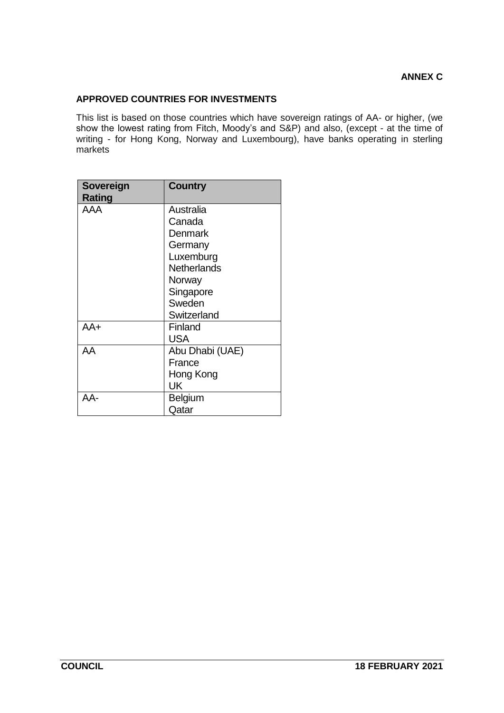## **APPROVED COUNTRIES FOR INVESTMENTS**

This list is based on those countries which have sovereign ratings of AA- or higher, (we show the lowest rating from Fitch, Moody's and S&P) and also, (except - at the time of writing - for Hong Kong, Norway and Luxembourg), have banks operating in sterling markets

| Sovereign<br><b>Rating</b> | <b>Country</b>     |
|----------------------------|--------------------|
| AAA                        | Australia          |
|                            | Canada             |
|                            | Denmark            |
|                            | Germany            |
|                            | Luxemburg          |
|                            | <b>Netherlands</b> |
|                            | Norway             |
|                            | Singapore          |
|                            | Sweden             |
|                            | Switzerland        |
| AA+                        | Finland            |
|                            | USA                |
| AA                         | Abu Dhabi (UAE)    |
|                            | France             |
|                            | Hong Kong          |
|                            | UK                 |
| AA-                        | Belgium            |
|                            | Qatar              |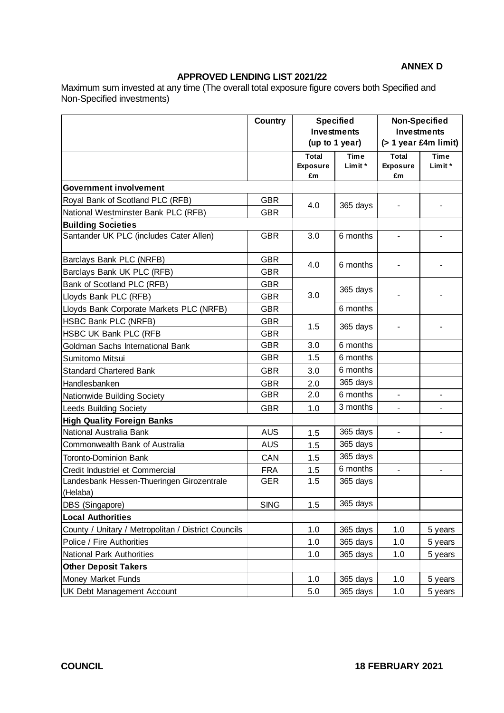# **APPROVED LENDING LIST 2021/22**

Maximum sum invested at any time (The overall total exposure figure covers both Specified and Non-Specified investments)

|                                                       | <b>Country</b> | <b>Specified</b><br><b>Investments</b><br>(up to 1 year) |                        | <b>Non-Specified</b><br><b>Investments</b><br>$($ > 1 year £4m limit) |                        |
|-------------------------------------------------------|----------------|----------------------------------------------------------|------------------------|-----------------------------------------------------------------------|------------------------|
|                                                       |                | <b>Total</b><br><b>Exposure</b><br>£m                    | <b>Time</b><br>Limit * | <b>Total</b><br><b>Exposure</b><br>£m                                 | <b>Time</b><br>Limit * |
| <b>Government involvement</b>                         |                |                                                          |                        |                                                                       |                        |
| Royal Bank of Scotland PLC (RFB)                      | <b>GBR</b>     | 4.0                                                      | 365 days               |                                                                       |                        |
| National Westminster Bank PLC (RFB)                   | <b>GBR</b>     |                                                          |                        |                                                                       |                        |
| <b>Building Societies</b>                             |                |                                                          |                        |                                                                       |                        |
| Santander UK PLC (includes Cater Allen)               | <b>GBR</b>     | 3.0                                                      | 6 months               |                                                                       |                        |
| Barclays Bank PLC (NRFB)                              | <b>GBR</b>     | 4.0                                                      | 6 months               |                                                                       |                        |
| Barclays Bank UK PLC (RFB)                            | <b>GBR</b>     |                                                          |                        |                                                                       |                        |
| Bank of Scotland PLC (RFB)                            | <b>GBR</b>     |                                                          |                        |                                                                       |                        |
| Lloyds Bank PLC (RFB)                                 | <b>GBR</b>     | 3.0                                                      | 365 days               |                                                                       |                        |
| Lloyds Bank Corporate Markets PLC (NRFB)              | <b>GBR</b>     |                                                          | 6 months               |                                                                       |                        |
| HSBC Bank PLC (NRFB)                                  | <b>GBR</b>     |                                                          | 365 days               |                                                                       |                        |
| HSBC UK Bank PLC (RFB                                 | <b>GBR</b>     | 1.5                                                      |                        |                                                                       |                        |
| Goldman Sachs International Bank                      | <b>GBR</b>     | 3.0                                                      | 6 months               |                                                                       |                        |
| Sumitomo Mitsui                                       | <b>GBR</b>     | 1.5                                                      | 6 months               |                                                                       |                        |
| <b>Standard Chartered Bank</b>                        | <b>GBR</b>     | 3.0                                                      | 6 months               |                                                                       |                        |
| Handlesbanken                                         | <b>GBR</b>     | 2.0                                                      | 365 days               |                                                                       |                        |
| Nationwide Building Society                           | <b>GBR</b>     | 2.0                                                      | 6 months               | $\overline{\phantom{0}}$                                              | $\blacksquare$         |
| <b>Leeds Building Society</b>                         | <b>GBR</b>     | 1.0                                                      | 3 months               | $\blacksquare$                                                        | $\blacksquare$         |
| <b>High Quality Foreign Banks</b>                     |                |                                                          |                        |                                                                       |                        |
| National Australia Bank                               | <b>AUS</b>     | 1.5                                                      | 365 days               |                                                                       |                        |
| Commonwealth Bank of Australia                        | <b>AUS</b>     | 1.5                                                      | 365 days               |                                                                       |                        |
| <b>Toronto-Dominion Bank</b>                          | CAN            | 1.5                                                      | 365 days               |                                                                       |                        |
| Credit Industriel et Commercial                       | <b>FRA</b>     | 1.5                                                      | 6 months               | $\blacksquare$                                                        |                        |
| Landesbank Hessen-Thueringen Girozentrale<br>(Helaba) | <b>GER</b>     | 1.5                                                      | 365 days               |                                                                       |                        |
| DBS (Singapore)                                       | <b>SING</b>    | 1.5                                                      | 365 days               |                                                                       |                        |
| <b>Local Authorities</b>                              |                |                                                          |                        |                                                                       |                        |
| County / Unitary / Metropolitan / District Councils   |                | 1.0                                                      | 365 days               | 1.0                                                                   | 5 years                |
| Police / Fire Authorities                             |                | 1.0                                                      | 365 days               | 1.0                                                                   | 5 years                |
| <b>National Park Authorities</b>                      |                | 1.0                                                      | 365 days               | 1.0                                                                   | 5 years                |
| <b>Other Deposit Takers</b>                           |                |                                                          |                        |                                                                       |                        |
| <b>Money Market Funds</b>                             |                | 1.0                                                      | 365 days               | 1.0                                                                   | 5 years                |
| <b>UK Debt Management Account</b>                     |                | 5.0                                                      | 365 days               | 1.0                                                                   | 5 years                |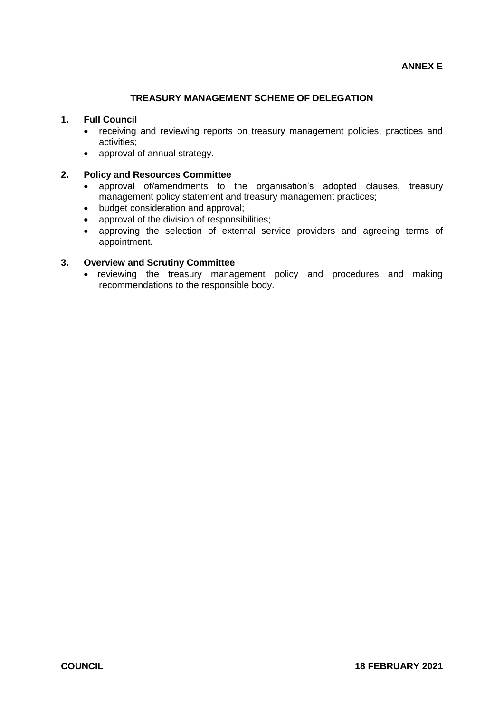## **TREASURY MANAGEMENT SCHEME OF DELEGATION**

#### **1. Full Council**

- receiving and reviewing reports on treasury management policies, practices and activities;
- approval of annual strategy.

#### **2. Policy and Resources Committee**

- approval of/amendments to the organisation's adopted clauses, treasury management policy statement and treasury management practices;
- budget consideration and approval;
- approval of the division of responsibilities;
- approving the selection of external service providers and agreeing terms of appointment.

#### **3. Overview and Scrutiny Committee**

• reviewing the treasury management policy and procedures and making recommendations to the responsible body.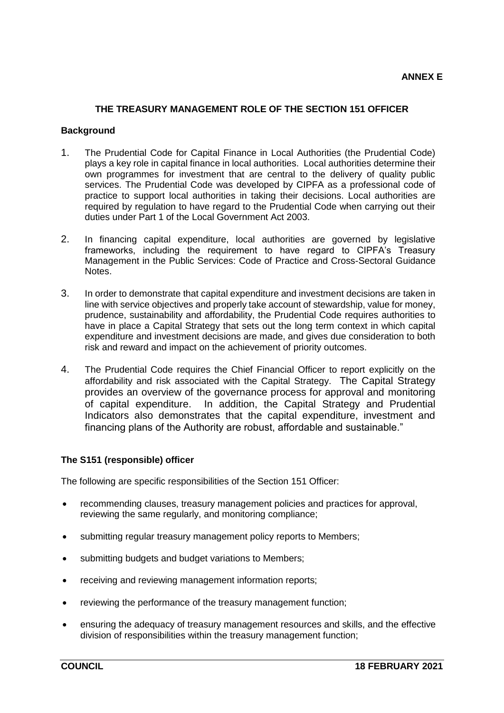#### **THE TREASURY MANAGEMENT ROLE OF THE SECTION 151 OFFICER**

#### **Background**

- 1. The Prudential Code for Capital Finance in Local Authorities (the Prudential Code) plays a key role in capital finance in local authorities. Local authorities determine their own programmes for investment that are central to the delivery of quality public services. The Prudential Code was developed by CIPFA as a professional code of practice to support local authorities in taking their decisions. Local authorities are required by regulation to have regard to the Prudential Code when carrying out their duties under Part 1 of the Local Government Act 2003.
- 2. In financing capital expenditure, local authorities are governed by legislative frameworks, including the requirement to have regard to CIPFA's Treasury Management in the Public Services: Code of Practice and Cross-Sectoral Guidance Notes.
- 3. In order to demonstrate that capital expenditure and investment decisions are taken in line with service objectives and properly take account of stewardship, value for money, prudence, sustainability and affordability, the Prudential Code requires authorities to have in place a Capital Strategy that sets out the long term context in which capital expenditure and investment decisions are made, and gives due consideration to both risk and reward and impact on the achievement of priority outcomes.
- 4. The Prudential Code requires the Chief Financial Officer to report explicitly on the affordability and risk associated with the Capital Strategy. The Capital Strategy provides an overview of the governance process for approval and monitoring of capital expenditure. In addition, the Capital Strategy and Prudential Indicators also demonstrates that the capital expenditure, investment and financing plans of the Authority are robust, affordable and sustainable."

#### **The S151 (responsible) officer**

The following are specific responsibilities of the Section 151 Officer:

- recommending clauses, treasury management policies and practices for approval, reviewing the same regularly, and monitoring compliance;
- submitting regular treasury management policy reports to Members;
- submitting budgets and budget variations to Members;
- receiving and reviewing management information reports;
- reviewing the performance of the treasury management function;
- ensuring the adequacy of treasury management resources and skills, and the effective division of responsibilities within the treasury management function;